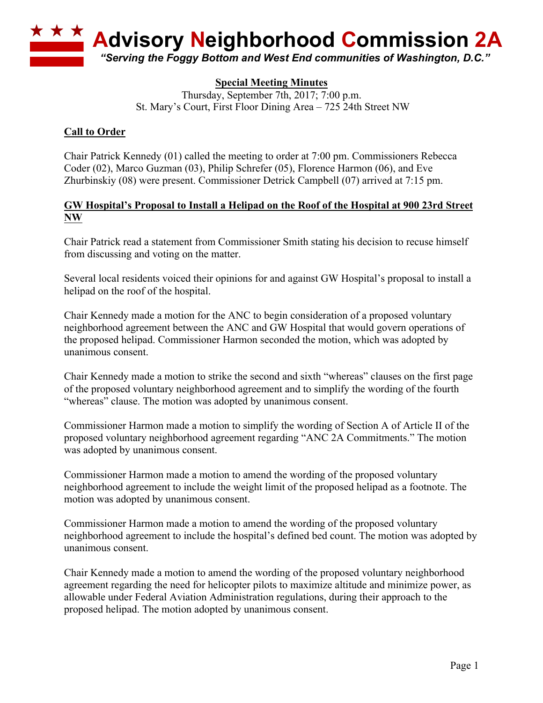

# **Special Meeting Minutes**

Thursday, September 7th, 2017; 7:00 p.m. St. Mary's Court, First Floor Dining Area – 725 24th Street NW

#### **Call to Order**

Chair Patrick Kennedy (01) called the meeting to order at 7:00 pm. Commissioners Rebecca Coder (02), Marco Guzman (03), Philip Schrefer (05), Florence Harmon (06), and Eve Zhurbinskiy (08) were present. Commissioner Detrick Campbell (07) arrived at 7:15 pm.

### **GW Hospital's Proposal to Install a Helipad on the Roof of the Hospital at 900 23rd Street NW**

Chair Patrick read a statement from Commissioner Smith stating his decision to recuse himself from discussing and voting on the matter.

Several local residents voiced their opinions for and against GW Hospital's proposal to install a helipad on the roof of the hospital.

Chair Kennedy made a motion for the ANC to begin consideration of a proposed voluntary neighborhood agreement between the ANC and GW Hospital that would govern operations of the proposed helipad. Commissioner Harmon seconded the motion, which was adopted by unanimous consent.

Chair Kennedy made a motion to strike the second and sixth "whereas" clauses on the first page of the proposed voluntary neighborhood agreement and to simplify the wording of the fourth "whereas" clause. The motion was adopted by unanimous consent.

Commissioner Harmon made a motion to simplify the wording of Section A of Article II of the proposed voluntary neighborhood agreement regarding "ANC 2A Commitments." The motion was adopted by unanimous consent.

Commissioner Harmon made a motion to amend the wording of the proposed voluntary neighborhood agreement to include the weight limit of the proposed helipad as a footnote. The motion was adopted by unanimous consent.

Commissioner Harmon made a motion to amend the wording of the proposed voluntary neighborhood agreement to include the hospital's defined bed count. The motion was adopted by unanimous consent.

Chair Kennedy made a motion to amend the wording of the proposed voluntary neighborhood agreement regarding the need for helicopter pilots to maximize altitude and minimize power, as allowable under Federal Aviation Administration regulations, during their approach to the proposed helipad. The motion adopted by unanimous consent.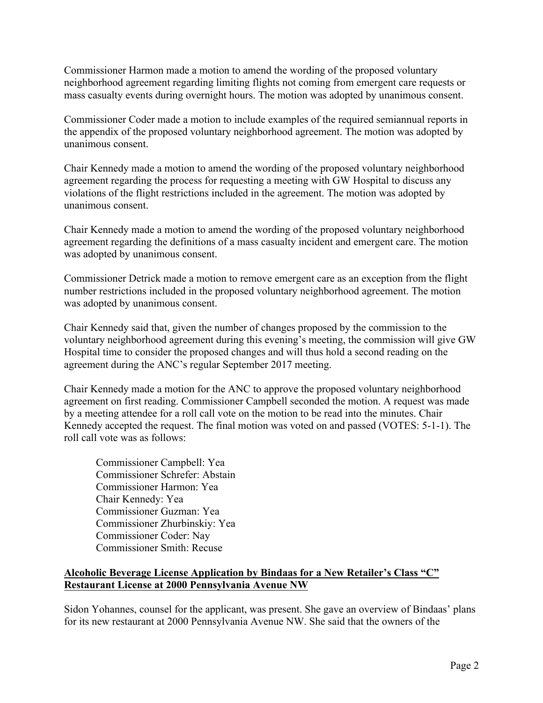Commissioner Harmon made a motion to amend the wording of the proposed voluntary neighborhood agreement regarding limiting flights not coming from emergent care requests or mass casualty events during overnight hours. The motion was adopted by unanimous consent.

Commissioner Coder made a motion to include examples of the required semiannual reports in the appendix of the proposed voluntary neighborhood agreement. The motion was adopted by unanimous consent.

Chair Kennedy made a motion to amend the wording of the proposed voluntary neighborhood agreement regarding the process for requesting a meeting with GW Hospital to discuss any violations of the flight restrictions included in the agreement. The motion was adopted by unanimous consent.

Chair Kennedy made a motion to amend the wording of the proposed voluntary neighborhood agreement regarding the definitions of a mass casualty incident and emergent care. The motion was adopted by unanimous consent.

Commissioner Detrick made a motion to remove emergent care as an exception from the flight number restrictions included in the proposed voluntary neighborhood agreement. The motion was adopted by unanimous consent.

Chair Kennedy said that, given the number of changes proposed by the commission to the voluntary neighborhood agreement during this evening's meeting, the commission will give GW Hospital time to consider the proposed changes and will thus hold a second reading on the agreement during the ANC's regular September 2017 meeting.

Chair Kennedy made a motion for the ANC to approve the proposed voluntary neighborhood agreement on first reading. Commissioner Campbell seconded the motion. A request was made by a meeting attendee for a roll call vote on the motion to be read into the minutes. Chair Kennedy accepted the request. The final motion was voted on and passed (VOTES: 5-1-1). The roll call vote was as follows:

Commissioner Campbell: Yea Commissioner Schrefer: Abstain Commissioner Harmon: Yea Chair Kennedy: Yea Commissioner Guzman: Yea Commissioner Zhurbinskiy: Yea Commissioner Coder: Nay Commissioner Smith: Recuse

# **Alcoholic Beverage License Application by Bindaas for a New Retailer's Class "C" Restaurant License at 2000 Pennsylvania Avenue NW**

Sidon Yohannes, counsel for the applicant, was present. She gave an overview of Bindaas' plans for its new restaurant at 2000 Pennsylvania Avenue NW. She said that the owners of the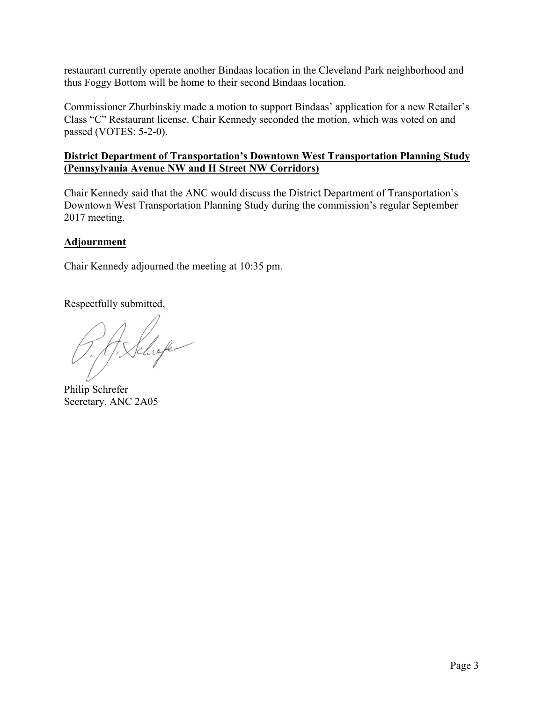restaurant currently operate another Bindaas location in the Cleveland Park neighborhood and thus Foggy Bottom will be home to their second Bindaas location.

Commissioner Zhurbinskiy made a motion to support Bindaas' application for a new Retailer's Class "C" Restaurant license. Chair Kennedy seconded the motion, which was voted on and passed (VOTES: 5-2-0).

# **District Department of Transportation's Downtown West Transportation Planning Study (Pennsylvania Avenue NW and H Street NW Corridors)**

Chair Kennedy said that the ANC would discuss the District Department of Transportation's Downtown West Transportation Planning Study during the commission's regular September 2017 meeting.

### **Adjournment**

Chair Kennedy adjourned the meeting at 10:35 pm.

Respectfully submitted,

H. Schrefe

Philip Schrefer Secretary, ANC 2A05